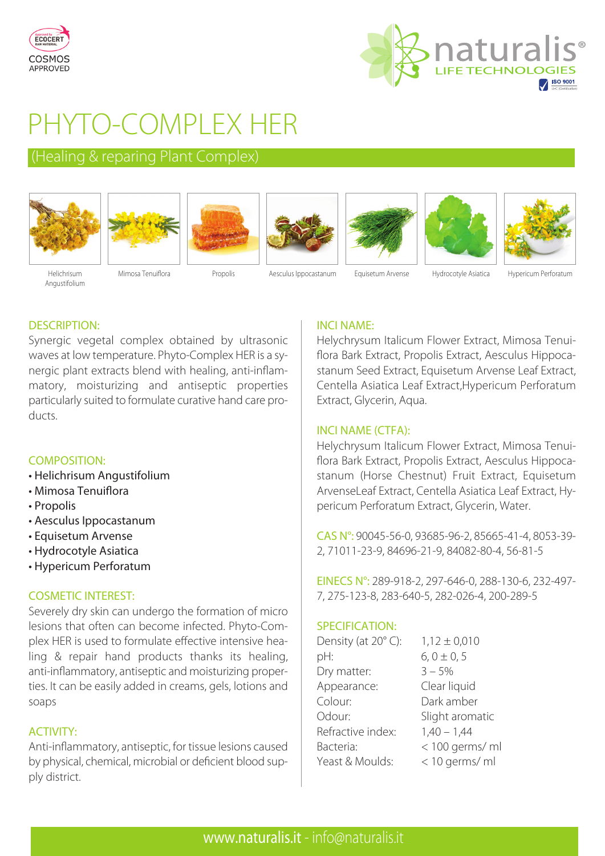



# PHYTO-COMPLEX HER

# (Healing & reparing Plant Complex)















Helichrisum Angustifolium

Mimosa Tenuiflora Propolis Aesculus Ippocastanum Equisetum Arvense Hydrocotyle Asiatica Hypericum Perforatum

# DESCRIPTION:

Synergic vegetal complex obtained by ultrasonic waves at low temperature. Phyto-Complex HER is a synergic plant extracts blend with healing, anti-inflammatory, moisturizing and antiseptic properties particularly suited to formulate curative hand care products.

# COMPOSITION:

- Helichrisum Angustifolium
- Mimosa Tenuiflora
- Propolis
- Aesculus Ippocastanum
- Equisetum Arvense
- Hydrocotyle Asiatica
- Hypericum Perforatum

# COSMETIC INTEREST:

Severely dry skin can undergo the formation of micro lesions that often can become infected. Phyto-Complex HER is used to formulate effective intensive healing & repair hand products thanks its healing, anti-inflammatory, antiseptic and moisturizing properties. It can be easily added in creams, gels, lotions and soaps

# ACTIVITY:

Anti-inflammatory, antiseptic, for tissue lesions caused by physical, chemical, microbial or deficient blood supply district.

# INCI NAME:

Helychrysum Italicum Flower Extract, Mimosa Tenuiflora Bark Extract, Propolis Extract, Aesculus Hippocastanum Seed Extract, Equisetum Arvense Leaf Extract, Centella Asiatica Leaf Extract,Hypericum Perforatum Extract, Glycerin, Aqua.

# INCI NAME (CTFA):

Helychrysum Italicum Flower Extract, Mimosa Tenuiflora Bark Extract, Propolis Extract, Aesculus Hippocastanum (Horse Chestnut) Fruit Extract, Equisetum ArvenseLeaf Extract, Centella Asiatica Leaf Extract, Hypericum Perforatum Extract, Glycerin, Water.

CAS N°: 90045-56-0, 93685-96-2, 85665-41-4, 8053-39- 2, 71011-23-9, 84696-21-9, 84082-80-4, 56-81-5

EINECS N°: 289-918-2, 297-646-0, 288-130-6, 232-497- 7, 275-123-8, 283-640-5, 282-026-4, 200-289-5

# SPECIFICATION:

| Density (at 20°C): | $1,12 \pm 0,010$ |
|--------------------|------------------|
| pH:                | $6, 0 \pm 0, 5$  |
| Dry matter:        | $3 - 5%$         |
| Appearance:        | Clear liquid     |
| Colour:            | Dark amber       |
| Odour:             | Slight aromatic  |
| Refractive index:  | $1,40 - 1,44$    |
| Bacteria:          | < 100 germs/ ml  |
| Yeast & Moulds:    | < 10 germs/ ml   |
|                    |                  |